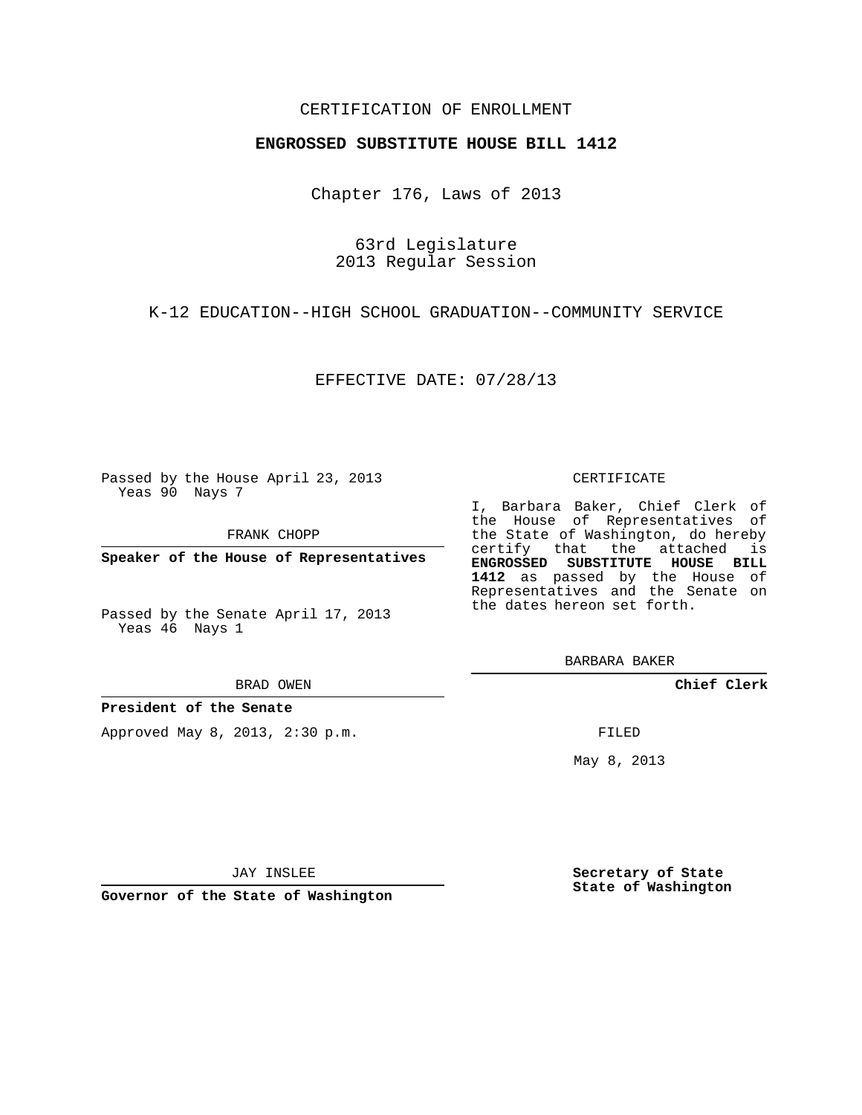### CERTIFICATION OF ENROLLMENT

### **ENGROSSED SUBSTITUTE HOUSE BILL 1412**

Chapter 176, Laws of 2013

63rd Legislature 2013 Regular Session

K-12 EDUCATION--HIGH SCHOOL GRADUATION--COMMUNITY SERVICE

EFFECTIVE DATE: 07/28/13

Passed by the House April 23, 2013 Yeas 90 Nays 7

FRANK CHOPP

**Speaker of the House of Representatives**

Passed by the Senate April 17, 2013 Yeas 46 Nays 1

#### BRAD OWEN

**President of the Senate**

Approved May 8, 2013, 2:30 p.m.

#### CERTIFICATE

I, Barbara Baker, Chief Clerk of the House of Representatives of the State of Washington, do hereby certify that the attached is **ENGROSSED SUBSTITUTE HOUSE BILL 1412** as passed by the House of Representatives and the Senate on the dates hereon set forth.

BARBARA BAKER

**Chief Clerk**

FILED

May 8, 2013

**Secretary of State State of Washington**

JAY INSLEE

**Governor of the State of Washington**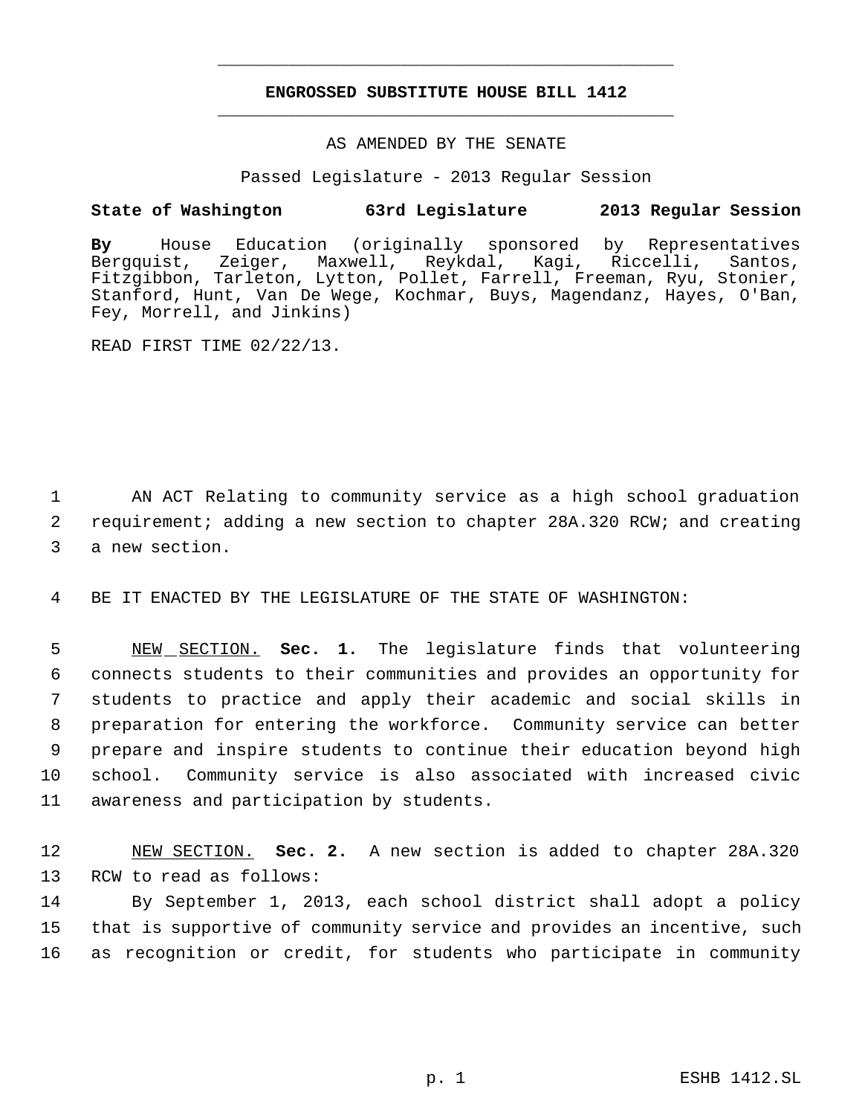## **ENGROSSED SUBSTITUTE HOUSE BILL 1412** \_\_\_\_\_\_\_\_\_\_\_\_\_\_\_\_\_\_\_\_\_\_\_\_\_\_\_\_\_\_\_\_\_\_\_\_\_\_\_\_\_\_\_\_\_

\_\_\_\_\_\_\_\_\_\_\_\_\_\_\_\_\_\_\_\_\_\_\_\_\_\_\_\_\_\_\_\_\_\_\_\_\_\_\_\_\_\_\_\_\_

### AS AMENDED BY THE SENATE

Passed Legislature - 2013 Regular Session

### **State of Washington 63rd Legislature 2013 Regular Session**

**By** House Education (originally sponsored by Representatives Kagi, Riccelli, Santos, Fitzgibbon, Tarleton, Lytton, Pollet, Farrell, Freeman, Ryu, Stonier, Stanford, Hunt, Van De Wege, Kochmar, Buys, Magendanz, Hayes, O'Ban, Fey, Morrell, and Jinkins)

READ FIRST TIME 02/22/13.

 1 AN ACT Relating to community service as a high school graduation 2 requirement; adding a new section to chapter 28A.320 RCW; and creating 3 a new section.

4 BE IT ENACTED BY THE LEGISLATURE OF THE STATE OF WASHINGTON:

 NEW SECTION. **Sec. 1.** The legislature finds that volunteering connects students to their communities and provides an opportunity for students to practice and apply their academic and social skills in preparation for entering the workforce. Community service can better prepare and inspire students to continue their education beyond high school. Community service is also associated with increased civic awareness and participation by students.

12 NEW SECTION. **Sec. 2.** A new section is added to chapter 28A.320 13 RCW to read as follows:

14 By September 1, 2013, each school district shall adopt a policy 15 that is supportive of community service and provides an incentive, such 16 as recognition or credit, for students who participate in community